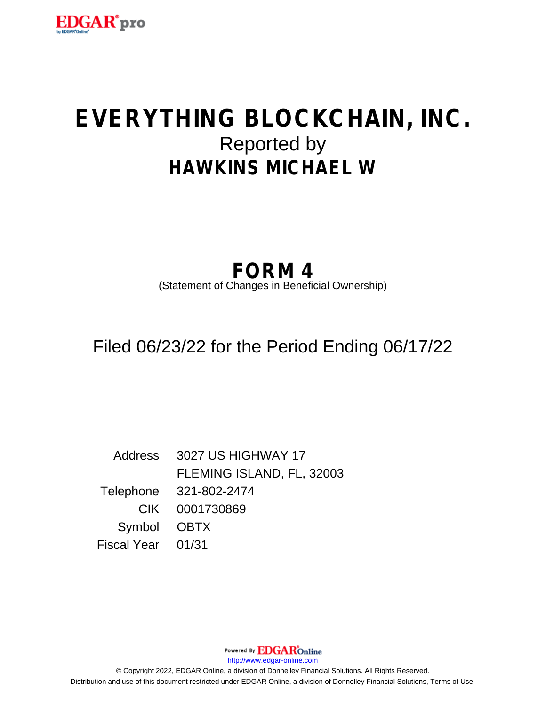

# **EVERYTHING BLOCKCHAIN, INC.** Reported by **HAWKINS MICHAEL W**

# **FORM 4**

(Statement of Changes in Beneficial Ownership)

Filed 06/23/22 for the Period Ending 06/17/22

Address 3027 US HIGHWAY 17 FLEMING ISLAND, FL, 32003 Telephone 321-802-2474 CIK 0001730869 Symbol OBTX Fiscal Year 01/31

http://www.edgar-online.com © Copyright 2022, EDGAR Online, a division of Donnelley Financial Solutions. All Rights Reserved. Distribution and use of this document restricted under EDGAR Online, a division of Donnelley Financial Solutions, Terms of Use.

Powered By **EDGAR**Online